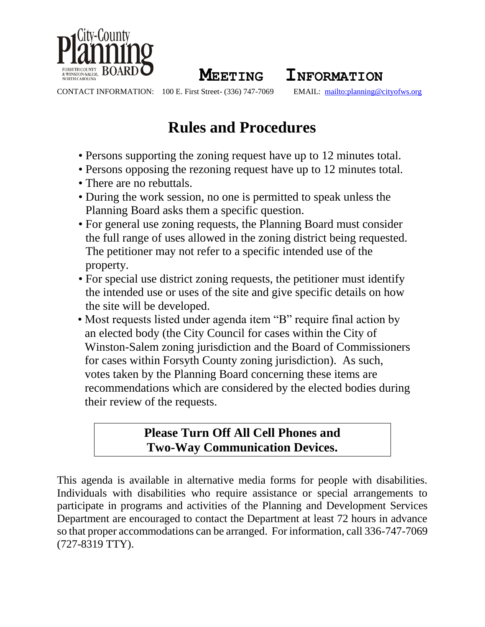

**MEETING INFORMATION**

CONTACT INFORMATION: 100 E. First Street- (336) 747-7069 EMAIL: <mailto:planning@cityofws.org>

# **Rules and Procedures**

- Persons supporting the zoning request have up to 12 minutes total.
- Persons opposing the rezoning request have up to 12 minutes total.
- There are no rebuttals.
- During the work session, no one is permitted to speak unless the Planning Board asks them a specific question.
- For general use zoning requests, the Planning Board must consider the full range of uses allowed in the zoning district being requested. The petitioner may not refer to a specific intended use of the property.
- For special use district zoning requests, the petitioner must identify the intended use or uses of the site and give specific details on how the site will be developed.
- Most requests listed under agenda item "B" require final action by an elected body (the City Council for cases within the City of Winston-Salem zoning jurisdiction and the Board of Commissioners for cases within Forsyth County zoning jurisdiction). As such, votes taken by the Planning Board concerning these items are recommendations which are considered by the elected bodies during their review of the requests.

# **Please Turn Off All Cell Phones and Two-Way Communication Devices.**

This agenda is available in alternative media forms for people with disabilities. Individuals with disabilities who require assistance or special arrangements to participate in programs and activities of the Planning and Development Services Department are encouraged to contact the Department at least 72 hours in advance so that proper accommodations can be arranged. For information, call 336-747-7069 (727-8319 TTY).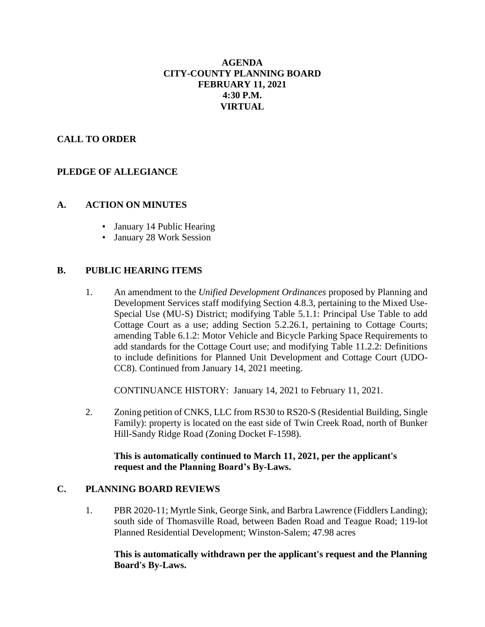# **AGENDA CITY-COUNTY PLANNING BOARD FEBRUARY 11, 2021 4:30 P.M. VIRTUAL**

# **CALL TO ORDER**

# **PLEDGE OF ALLEGIANCE**

#### **A. ACTION ON MINUTES**

- January 14 Public Hearing
- January 28 Work Session

#### **B. PUBLIC HEARING ITEMS**

1. An amendment to the *Unified Development Ordinances* proposed by Planning and Development Services staff modifying Section 4.8.3, pertaining to the Mixed Use-Special Use (MU-S) District; modifying Table 5.1.1: Principal Use Table to add Cottage Court as a use; adding Section 5.2.26.1, pertaining to Cottage Courts; amending Table 6.1.2: Motor Vehicle and Bicycle Parking Space Requirements to add standards for the Cottage Court use; and modifying Table 11.2.2: Definitions to include definitions for Planned Unit Development and Cottage Court (UDO-CC8). Continued from January 14, 2021 meeting.

CONTINUANCE HISTORY: January 14, 2021 to February 11, 2021.

2. Zoning petition of CNKS, LLC from RS30 to RS20-S (Residential Building, Single Family): property is located on the east side of Twin Creek Road, north of Bunker Hill-Sandy Ridge Road (Zoning Docket F-1598).

# **This is automatically continued to March 11, 2021, per the applicant's request and the Planning Board's By-Laws.**

#### **C. PLANNING BOARD REVIEWS**

1. PBR 2020-11; Myrtle Sink, George Sink, and Barbra Lawrence (Fiddlers Landing); south side of Thomasville Road, between Baden Road and Teague Road; 119-lot Planned Residential Development; Winston-Salem; 47.98 acres

#### **This is automatically withdrawn per the applicant's request and the Planning Board's By-Laws.**